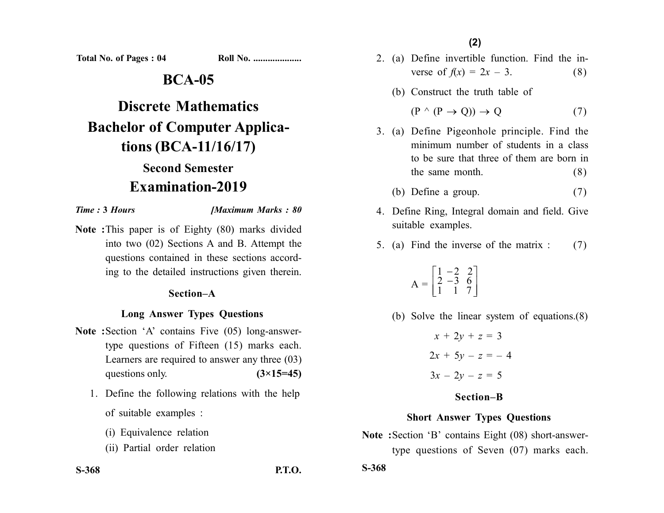Total No. of Pages : 04

|  | <u> Roll No. </u> |
|--|-------------------|
|--|-------------------|

## **BCA-05**

# **Discrete Mathematics Bachelor of Computer Applications (BCA-11/16/17) Second Semester Examination-2019**

#### *Time :* **3** *Hours [Maximum Marks : 80*

**Note :**This paper is of Eighty (80) marks divided into two (02) Sections A and B. Attempt the questions contained in these sections according to the detailed instructions given therein.

#### **Section–A**

#### **Long Answer Types Questions**

- **Note :**Section 'A' contains Five (05) long-answertype questions of Fifteen (15) marks each. Learners are required to answer any three (03) questions only.  $(3\times15=45)$ 
	- 1. Define the following relations with the help of suitable examples :
		- (i) Equivalence relation
		- (ii) Partial order relation

**(2)**

- 2. (a) Define invertible function. Find the inverse of  $f(x) = 2x - 3$ . (8)
	- (b) Construct the truth table of

$$
(P \land (P \to Q)) \to Q \tag{7}
$$

- 3. (a) Define Pigeonhole principle. Find the minimum number of students in a class to be sure that three of them are born in the same month.  $(8)$ 
	- (b) Define a group.  $(7)$
- 4. Define Ring, Integral domain and field. Give suitable examples.
- 5. (a) Find the inverse of the matrix : (7)

$$
A = \begin{bmatrix} 1 & -2 & 2 \\ 2 & -3 & 6 \\ 1 & 1 & 7 \end{bmatrix}
$$

(b) Solve the linear system of equations.(8)

 $x + 2y + z = 3$  $2x + 5y - z = -4$  $3x - 2y - z = 5$ 

#### **Section–B**

#### **Short Answer Types Questions**

**Note :**Section 'B' contains Eight (08) short-answertype questions of Seven (07) marks each.

**S-368 P.T.O.**

**S-368**